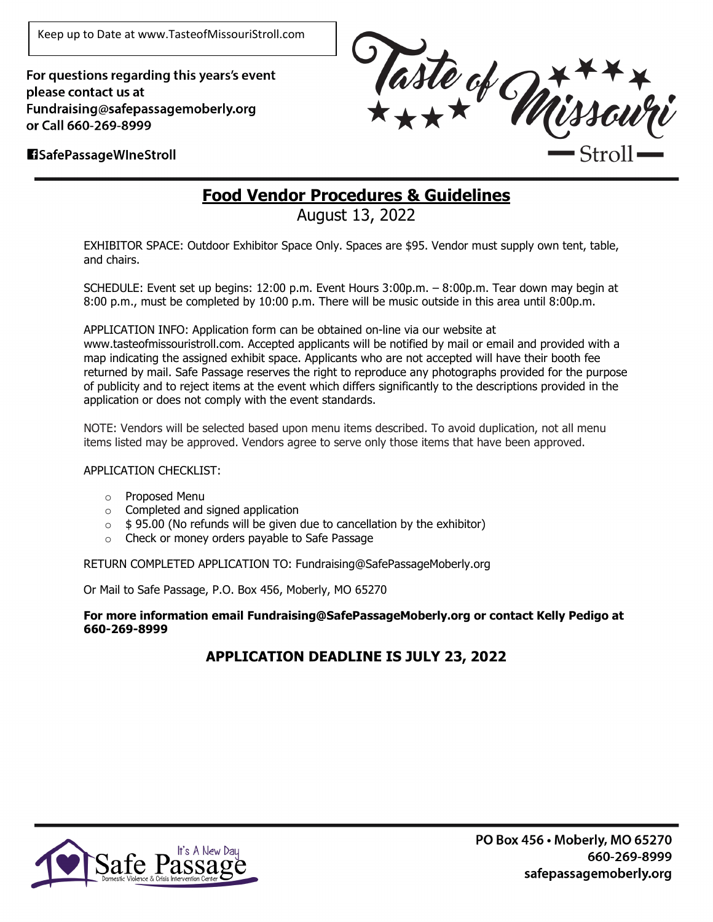Keep up to Date at www.TasteofMissouriStroll.com

For questions regarding this years's event please contact us at Fundraising@safepassagemoberly.org or Call 660-269-8999



#### **El SafePassage Wine Stroll**

# **Food Vendor Procedures & Guidelines**

August 13, 2022

EXHIBITOR SPACE: Outdoor Exhibitor Space Only. Spaces are \$95. Vendor must supply own tent, table, and chairs.

SCHEDULE: Event set up begins: 12:00 p.m. Event Hours 3:00p.m. – 8:00p.m. Tear down may begin at 8:00 p.m., must be completed by 10:00 p.m. There will be music outside in this area until 8:00p.m.

APPLICATION INFO: Application form can be obtained on-line via our website at www.tasteofmissouristroll.com. Accepted applicants will be notified by mail or email and provided with a map indicating the assigned exhibit space. Applicants who are not accepted will have their booth fee returned by mail. Safe Passage reserves the right to reproduce any photographs provided for the purpose of publicity and to reject items at the event which differs significantly to the descriptions provided in the application or does not comply with the event standards.

NOTE: Vendors will be selected based upon menu items described. To avoid duplication, not all menu items listed may be approved. Vendors agree to serve only those items that have been approved.

#### APPLICATION CHECKLIST:

- o Proposed Menu
- o Completed and signed application
- $\circ$  \$ 95.00 (No refunds will be given due to cancellation by the exhibitor)
- o Check or money orders payable to Safe Passage

RETURN COMPLETED APPLICATION TO: Fundraising@SafePassageMoberly.org

Or Mail to Safe Passage, P.O. Box 456, Moberly, MO 65270

**For more information email Fundraising@SafePassageMoberly.org or contact Kelly Pedigo at 660-269-8999**

#### **APPLICATION DEADLINE IS JULY 23, 2022**